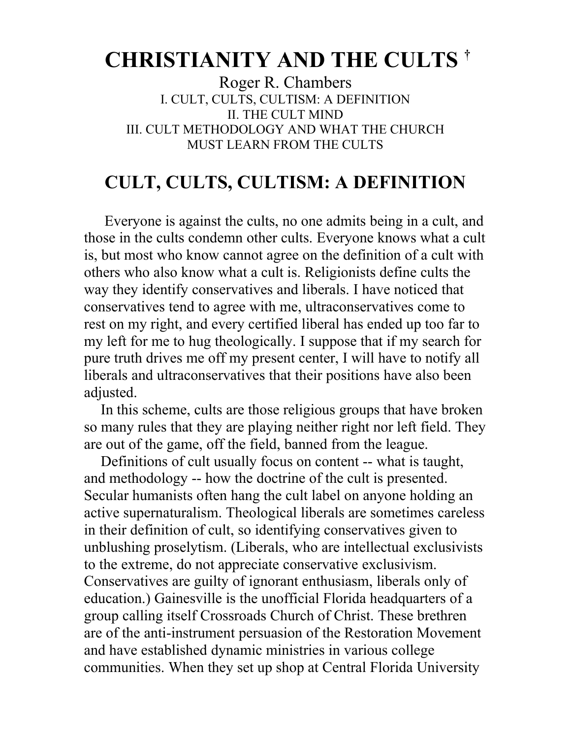## **CHRISTIANITY AND THE CULTS †**

Roger R. Chambers I. CULT, CULTS, CULTISM: A DEFINITION II. THE CULT MIND III. CULT METHODOLOGY AND WHAT THE CHURCH MUST LEARN FROM THE CULTS

## **CULT, CULTS, CULTISM: A DEFINITION**

Everyone is against the cults, no one admits being in a cult, and those in the cults condemn other cults. Everyone knows what a cult is, but most who know cannot agree on the definition of a cult with others who also know what a cult is. Religionists define cults the way they identify conservatives and liberals. I have noticed that conservatives tend to agree with me, ultraconservatives come to rest on my right, and every certified liberal has ended up too far to my left for me to hug theologically. I suppose that if my search for pure truth drives me off my present center, I will have to notify all liberals and ultraconservatives that their positions have also been adjusted.

In this scheme, cults are those religious groups that have broken so many rules that they are playing neither right nor left field. They are out of the game, off the field, banned from the league.

Definitions of cult usually focus on content -- what is taught, and methodology -- how the doctrine of the cult is presented. Secular humanists often hang the cult label on anyone holding an active supernaturalism. Theological liberals are sometimes careless in their definition of cult, so identifying conservatives given to unblushing proselytism. (Liberals, who are intellectual exclusivists to the extreme, do not appreciate conservative exclusivism. Conservatives are guilty of ignorant enthusiasm, liberals only of education.) Gainesville is the unofficial Florida headquarters of a group calling itself Crossroads Church of Christ. These brethren are of the anti-instrument persuasion of the Restoration Movement and have established dynamic ministries in various college communities. When they set up shop at Central Florida University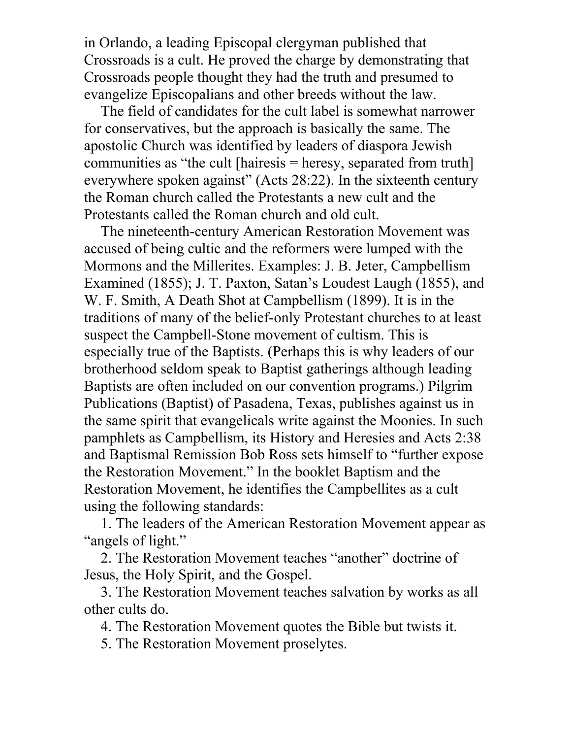in Orlando, a leading Episcopal clergyman published that Crossroads is a cult. He proved the charge by demonstrating that Crossroads people thought they had the truth and presumed to evangelize Episcopalians and other breeds without the law.

The field of candidates for the cult label is somewhat narrower for conservatives, but the approach is basically the same. The apostolic Church was identified by leaders of diaspora Jewish communities as "the cult [hairesis = heresy, separated from truth] everywhere spoken against" (Acts 28:22). In the sixteenth century the Roman church called the Protestants a new cult and the Protestants called the Roman church and old cult.

The nineteenth-century American Restoration Movement was accused of being cultic and the reformers were lumped with the Mormons and the Millerites. Examples: J. B. Jeter, Campbellism Examined (1855); J. T. Paxton, Satan's Loudest Laugh (1855), and W. F. Smith, A Death Shot at Campbellism (1899). It is in the traditions of many of the belief-only Protestant churches to at least suspect the Campbell-Stone movement of cultism. This is especially true of the Baptists. (Perhaps this is why leaders of our brotherhood seldom speak to Baptist gatherings although leading Baptists are often included on our convention programs.) Pilgrim Publications (Baptist) of Pasadena, Texas, publishes against us in the same spirit that evangelicals write against the Moonies. In such pamphlets as Campbellism, its History and Heresies and Acts 2:38 and Baptismal Remission Bob Ross sets himself to "further expose the Restoration Movement." In the booklet Baptism and the Restoration Movement, he identifies the Campbellites as a cult using the following standards:

1. The leaders of the American Restoration Movement appear as "angels of light."

2. The Restoration Movement teaches "another" doctrine of Jesus, the Holy Spirit, and the Gospel.

3. The Restoration Movement teaches salvation by works as all other cults do.

4. The Restoration Movement quotes the Bible but twists it.

5. The Restoration Movement proselytes.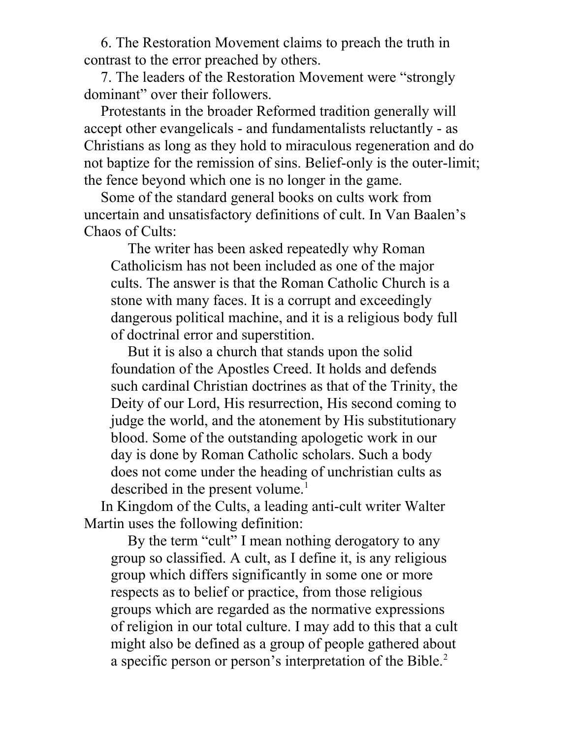6. The Restoration Movement claims to preach the truth in contrast to the error preached by others.

7. The leaders of the Restoration Movement were "strongly dominant" over their followers.

Protestants in the broader Reformed tradition generally will accept other evangelicals - and fundamentalists reluctantly - as Christians as long as they hold to miraculous regeneration and do not baptize for the remission of sins. Belief-only is the outer-limit; the fence beyond which one is no longer in the game.

Some of the standard general books on cults work from uncertain and unsatisfactory definitions of cult. In Van Baalen's Chaos of Cults:

The writer has been asked repeatedly why Roman Catholicism has not been included as one of the major cults. The answer is that the Roman Catholic Church is a stone with many faces. It is a corrupt and exceedingly dangerous political machine, and it is a religious body full of doctrinal error and superstition.

But it is also a church that stands upon the solid foundation of the Apostles Creed. It holds and defends such cardinal Christian doctrines as that of the Trinity, the Deity of our Lord, His resurrection, His second coming to judge the world, and the atonement by His substitutionary blood. Some of the outstanding apologetic work in our day is done by Roman Catholic scholars. Such a body does not come under the heading of unchristian cults as described in the present volume.<sup>1</sup>

In Kingdom of the Cults, a leading anti-cult writer Walter Martin uses the following definition:

By the term "cult" I mean nothing derogatory to any group so classified. A cult, as I define it, is any religious group which differs significantly in some one or more respects as to belief or practice, from those religious groups which are regarded as the normative expressions of religion in our total culture. I may add to this that a cult might also be defined as a group of people gathered about a specific person or person's interpretation of the Bible.<sup>2</sup>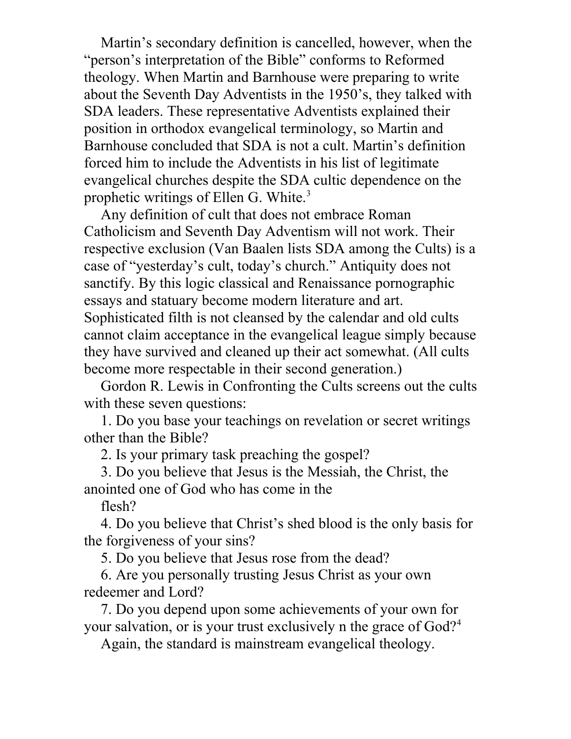Martin's secondary definition is cancelled, however, when the "person's interpretation of the Bible" conforms to Reformed theology. When Martin and Barnhouse were preparing to write about the Seventh Day Adventists in the 1950's, they talked with SDA leaders. These representative Adventists explained their position in orthodox evangelical terminology, so Martin and Barnhouse concluded that SDA is not a cult. Martin's definition forced him to include the Adventists in his list of legitimate evangelical churches despite the SDA cultic dependence on the prophetic writings of Ellen G. White.<sup>3</sup>

Any definition of cult that does not embrace Roman Catholicism and Seventh Day Adventism will not work. Their respective exclusion (Van Baalen lists SDA among the Cults) is a case of "yesterday's cult, today's church." Antiquity does not sanctify. By this logic classical and Renaissance pornographic essays and statuary become modern literature and art. Sophisticated filth is not cleansed by the calendar and old cults cannot claim acceptance in the evangelical league simply because they have survived and cleaned up their act somewhat. (All cults become more respectable in their second generation.)

Gordon R. Lewis in Confronting the Cults screens out the cults with these seven questions:

1. Do you base your teachings on revelation or secret writings other than the Bible?

2. Is your primary task preaching the gospel?

3. Do you believe that Jesus is the Messiah, the Christ, the anointed one of God who has come in the

flesh?

4. Do you believe that Christ's shed blood is the only basis for the forgiveness of your sins?

5. Do you believe that Jesus rose from the dead?

6. Are you personally trusting Jesus Christ as your own redeemer and Lord?

7. Do you depend upon some achievements of your own for your salvation, or is your trust exclusively n the grace of God?<sup>4</sup>

Again, the standard is mainstream evangelical theology.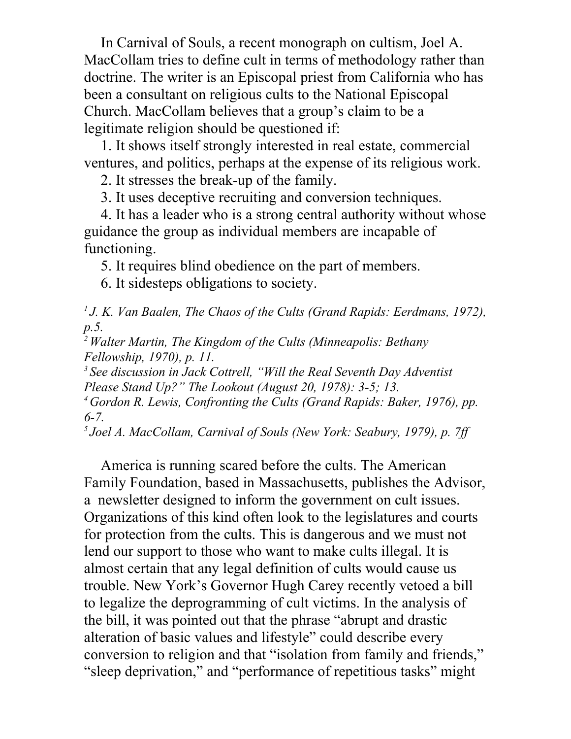In Carnival of Souls, a recent monograph on cultism, Joel A. MacCollam tries to define cult in terms of methodology rather than doctrine. The writer is an Episcopal priest from California who has been a consultant on religious cults to the National Episcopal Church. MacCollam believes that a group's claim to be a legitimate religion should be questioned if:

1. It shows itself strongly interested in real estate, commercial ventures, and politics, perhaps at the expense of its religious work.

2. It stresses the break-up of the family.

3. It uses deceptive recruiting and conversion techniques.

4. It has a leader who is a strong central authority without whose guidance the group as individual members are incapable of functioning.

5. It requires blind obedience on the part of members.

6. It sidesteps obligations to society.

*<sup>1</sup>J. K. Van Baalen, The Chaos of the Cults (Grand Rapids: Eerdmans, 1972), p.5.* 

*<sup>2</sup>Walter Martin, The Kingdom of the Cults (Minneapolis: Bethany Fellowship, 1970), p. 11.* 

*<sup>3</sup>See discussion in Jack Cottrell, "Will the Real Seventh Day Adventist Please Stand Up?" The Lookout (August 20, 1978): 3-5; 13.* 

*<sup>4</sup>Gordon R. Lewis, Confronting the Cults (Grand Rapids: Baker, 1976), pp. 6-7.* 

*<sup>5</sup>Joel A. MacCollam, Carnival of Souls (New York: Seabury, 1979), p. 7ff* 

America is running scared before the cults. The American Family Foundation, based in Massachusetts, publishes the Advisor, a newsletter designed to inform the government on cult issues. Organizations of this kind often look to the legislatures and courts for protection from the cults. This is dangerous and we must not lend our support to those who want to make cults illegal. It is almost certain that any legal definition of cults would cause us trouble. New York's Governor Hugh Carey recently vetoed a bill to legalize the deprogramming of cult victims. In the analysis of the bill, it was pointed out that the phrase "abrupt and drastic alteration of basic values and lifestyle" could describe every conversion to religion and that "isolation from family and friends," "sleep deprivation," and "performance of repetitious tasks" might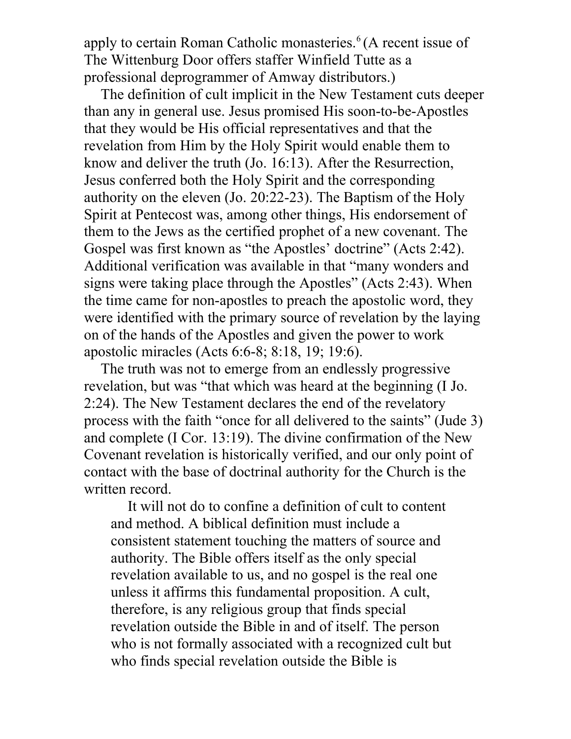apply to certain Roman Catholic monasteries.<sup>6</sup>(A recent issue of The Wittenburg Door offers staffer Winfield Tutte as a professional deprogrammer of Amway distributors.)

The definition of cult implicit in the New Testament cuts deeper than any in general use. Jesus promised His soon-to-be-Apostles that they would be His official representatives and that the revelation from Him by the Holy Spirit would enable them to know and deliver the truth (Jo. 16:13). After the Resurrection, Jesus conferred both the Holy Spirit and the corresponding authority on the eleven (Jo. 20:22-23). The Baptism of the Holy Spirit at Pentecost was, among other things, His endorsement of them to the Jews as the certified prophet of a new covenant. The Gospel was first known as "the Apostles' doctrine" (Acts 2:42). Additional verification was available in that "many wonders and signs were taking place through the Apostles" (Acts 2:43). When the time came for non-apostles to preach the apostolic word, they were identified with the primary source of revelation by the laying on of the hands of the Apostles and given the power to work apostolic miracles (Acts 6:6-8; 8:18, 19; 19:6).

The truth was not to emerge from an endlessly progressive revelation, but was "that which was heard at the beginning (I Jo. 2:24). The New Testament declares the end of the revelatory process with the faith "once for all delivered to the saints" (Jude 3) and complete (I Cor. 13:19). The divine confirmation of the New Covenant revelation is historically verified, and our only point of contact with the base of doctrinal authority for the Church is the written record.

It will not do to confine a definition of cult to content and method. A biblical definition must include a consistent statement touching the matters of source and authority. The Bible offers itself as the only special revelation available to us, and no gospel is the real one unless it affirms this fundamental proposition. A cult, therefore, is any religious group that finds special revelation outside the Bible in and of itself. The person who is not formally associated with a recognized cult but who finds special revelation outside the Bible is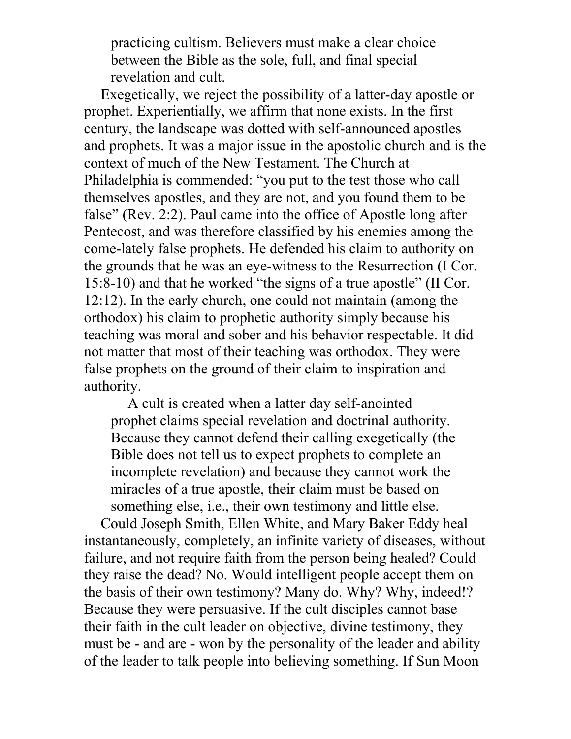practicing cultism. Believers must make a clear choice between the Bible as the sole, full, and final special revelation and cult.

Exegetically, we reject the possibility of a latter-day apostle or prophet. Experientially, we affirm that none exists. In the first century, the landscape was dotted with self-announced apostles and prophets. It was a major issue in the apostolic church and is the context of much of the New Testament. The Church at Philadelphia is commended: "you put to the test those who call themselves apostles, and they are not, and you found them to be false" (Rev. 2:2). Paul came into the office of Apostle long after Pentecost, and was therefore classified by his enemies among the come-lately false prophets. He defended his claim to authority on the grounds that he was an eye-witness to the Resurrection (I Cor. 15:8-10) and that he worked "the signs of a true apostle" (II Cor. 12:12). In the early church, one could not maintain (among the orthodox) his claim to prophetic authority simply because his teaching was moral and sober and his behavior respectable. It did not matter that most of their teaching was orthodox. They were false prophets on the ground of their claim to inspiration and authority.

A cult is created when a latter day self-anointed prophet claims special revelation and doctrinal authority. Because they cannot defend their calling exegetically (the Bible does not tell us to expect prophets to complete an incomplete revelation) and because they cannot work the miracles of a true apostle, their claim must be based on something else, i.e., their own testimony and little else.

Could Joseph Smith, Ellen White, and Mary Baker Eddy heal instantaneously, completely, an infinite variety of diseases, without failure, and not require faith from the person being healed? Could they raise the dead? No. Would intelligent people accept them on the basis of their own testimony? Many do. Why? Why, indeed!? Because they were persuasive. If the cult disciples cannot base their faith in the cult leader on objective, divine testimony, they must be - and are - won by the personality of the leader and ability of the leader to talk people into believing something. If Sun Moon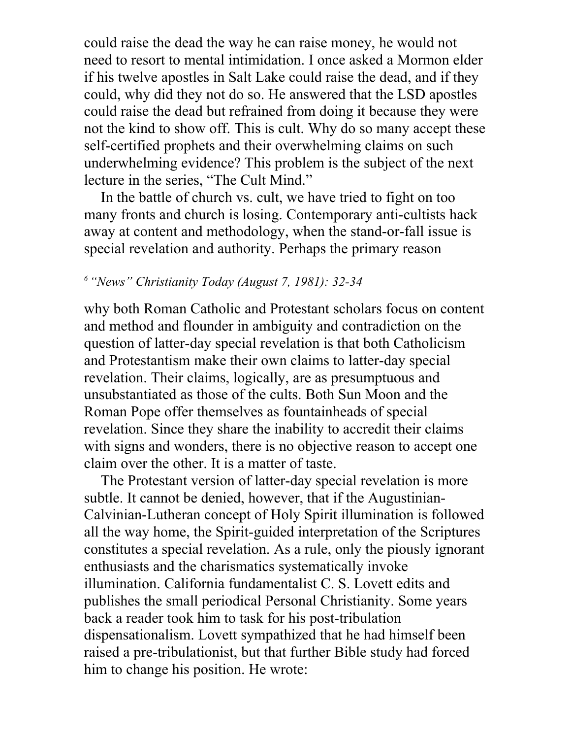could raise the dead the way he can raise money, he would not need to resort to mental intimidation. I once asked a Mormon elder if his twelve apostles in Salt Lake could raise the dead, and if they could, why did they not do so. He answered that the LSD apostles could raise the dead but refrained from doing it because they were not the kind to show off. This is cult. Why do so many accept these self-certified prophets and their overwhelming claims on such underwhelming evidence? This problem is the subject of the next lecture in the series, "The Cult Mind."

In the battle of church vs. cult, we have tried to fight on too many fronts and church is losing. Contemporary anti-cultists hack away at content and methodology, when the stand-or-fall issue is special revelation and authority. Perhaps the primary reason

### *<sup>6</sup>"News" Christianity Today (August 7, 1981): 32-34*

why both Roman Catholic and Protestant scholars focus on content and method and flounder in ambiguity and contradiction on the question of latter-day special revelation is that both Catholicism and Protestantism make their own claims to latter-day special revelation. Their claims, logically, are as presumptuous and unsubstantiated as those of the cults. Both Sun Moon and the Roman Pope offer themselves as fountainheads of special revelation. Since they share the inability to accredit their claims with signs and wonders, there is no objective reason to accept one claim over the other. It is a matter of taste.

The Protestant version of latter-day special revelation is more subtle. It cannot be denied, however, that if the Augustinian-Calvinian-Lutheran concept of Holy Spirit illumination is followed all the way home, the Spirit-guided interpretation of the Scriptures constitutes a special revelation. As a rule, only the piously ignorant enthusiasts and the charismatics systematically invoke illumination. California fundamentalist C. S. Lovett edits and publishes the small periodical Personal Christianity. Some years back a reader took him to task for his post-tribulation dispensationalism. Lovett sympathized that he had himself been raised a pre-tribulationist, but that further Bible study had forced him to change his position. He wrote: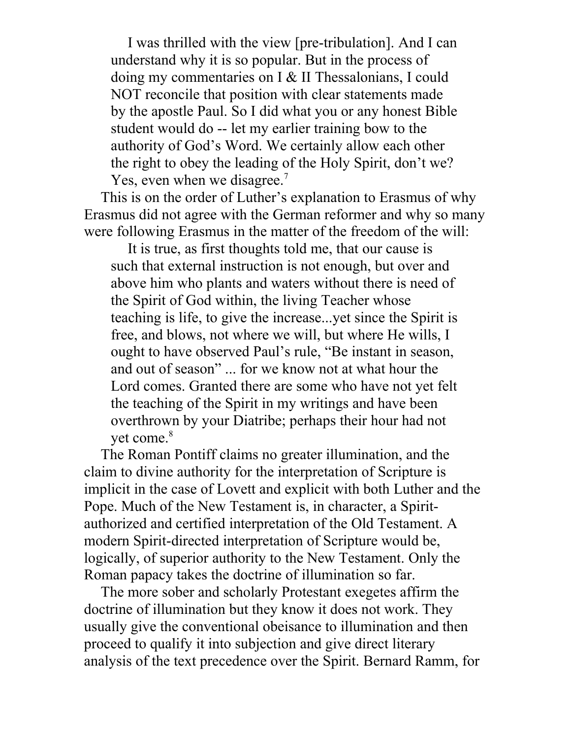I was thrilled with the view [pre-tribulation]. And I can understand why it is so popular. But in the process of doing my commentaries on I & II Thessalonians, I could NOT reconcile that position with clear statements made by the apostle Paul. So I did what you or any honest Bible student would do -- let my earlier training bow to the authority of God's Word. We certainly allow each other the right to obey the leading of the Holy Spirit, don't we? Yes, even when we disagree.<sup>7</sup>

This is on the order of Luther's explanation to Erasmus of why Erasmus did not agree with the German reformer and why so many were following Erasmus in the matter of the freedom of the will:

It is true, as first thoughts told me, that our cause is such that external instruction is not enough, but over and above him who plants and waters without there is need of the Spirit of God within, the living Teacher whose teaching is life, to give the increase...yet since the Spirit is free, and blows, not where we will, but where He wills, I ought to have observed Paul's rule, "Be instant in season, and out of season" ... for we know not at what hour the Lord comes. Granted there are some who have not yet felt the teaching of the Spirit in my writings and have been overthrown by your Diatribe; perhaps their hour had not yet come.<sup>8</sup>

The Roman Pontiff claims no greater illumination, and the claim to divine authority for the interpretation of Scripture is implicit in the case of Lovett and explicit with both Luther and the Pope. Much of the New Testament is, in character, a Spiritauthorized and certified interpretation of the Old Testament. A modern Spirit-directed interpretation of Scripture would be, logically, of superior authority to the New Testament. Only the Roman papacy takes the doctrine of illumination so far.

The more sober and scholarly Protestant exegetes affirm the doctrine of illumination but they know it does not work. They usually give the conventional obeisance to illumination and then proceed to qualify it into subjection and give direct literary analysis of the text precedence over the Spirit. Bernard Ramm, for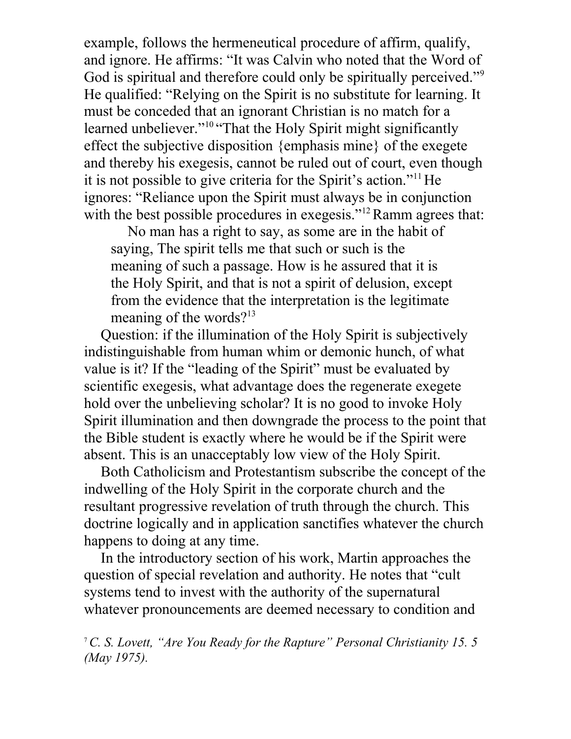example, follows the hermeneutical procedure of affirm, qualify, and ignore. He affirms: "It was Calvin who noted that the Word of God is spiritual and therefore could only be spiritually perceived."<sup>9</sup> He qualified: "Relying on the Spirit is no substitute for learning. It must be conceded that an ignorant Christian is no match for a learned unbeliever."<sup>10</sup> "That the Holy Spirit might significantly effect the subjective disposition {emphasis mine} of the exegete and thereby his exegesis, cannot be ruled out of court, even though it is not possible to give criteria for the Spirit's action."<sup>11</sup> He ignores: "Reliance upon the Spirit must always be in conjunction with the best possible procedures in exegesis."<sup>12</sup> Ramm agrees that:

No man has a right to say, as some are in the habit of saying, The spirit tells me that such or such is the meaning of such a passage. How is he assured that it is the Holy Spirit, and that is not a spirit of delusion, except from the evidence that the interpretation is the legitimate meaning of the words? $13$ 

Question: if the illumination of the Holy Spirit is subjectively indistinguishable from human whim or demonic hunch, of what value is it? If the "leading of the Spirit" must be evaluated by scientific exegesis, what advantage does the regenerate exegete hold over the unbelieving scholar? It is no good to invoke Holy Spirit illumination and then downgrade the process to the point that the Bible student is exactly where he would be if the Spirit were absent. This is an unacceptably low view of the Holy Spirit.

Both Catholicism and Protestantism subscribe the concept of the indwelling of the Holy Spirit in the corporate church and the resultant progressive revelation of truth through the church. This doctrine logically and in application sanctifies whatever the church happens to doing at any time.

In the introductory section of his work, Martin approaches the question of special revelation and authority. He notes that "cult systems tend to invest with the authority of the supernatural whatever pronouncements are deemed necessary to condition and

<sup>7</sup>*C. S. Lovett, "Are You Ready for the Rapture" Personal Christianity 15. 5 (May 1975).*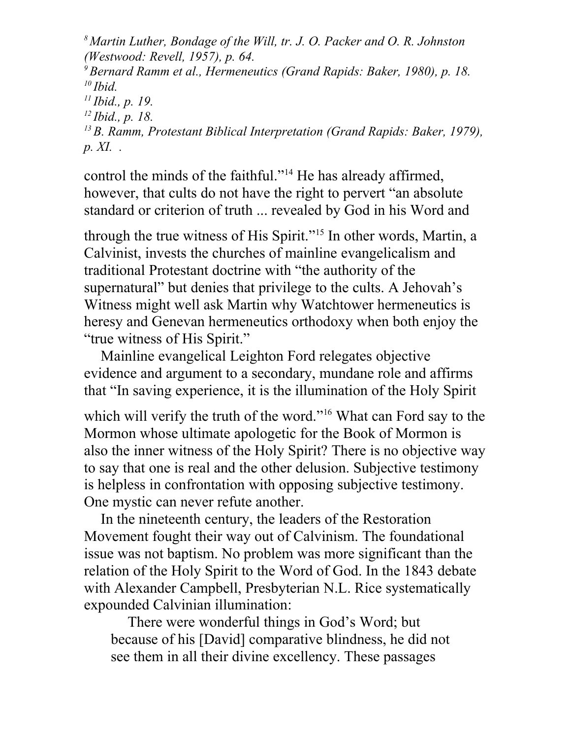*Martin Luther, Bondage of the Will, tr. J. O. Packer and O. R. Johnston (Westwood: Revell, 1957), p. 64. Bernard Ramm et al., Hermeneutics (Grand Rapids: Baker, 1980), p. 18. <sup>10</sup>Ibid. Ibid., p. 19. Ibid., p. 18. B. Ramm, Protestant Biblical Interpretation (Grand Rapids: Baker, 1979), p. XI. .* 

control the minds of the faithful."<sup>14</sup> He has already affirmed, however, that cults do not have the right to pervert "an absolute standard or criterion of truth ... revealed by God in his Word and

through the true witness of His Spirit."<sup>15</sup> In other words, Martin, a Calvinist, invests the churches of mainline evangelicalism and traditional Protestant doctrine with "the authority of the supernatural" but denies that privilege to the cults. A Jehovah's Witness might well ask Martin why Watchtower hermeneutics is heresy and Genevan hermeneutics orthodoxy when both enjoy the "true witness of His Spirit."

Mainline evangelical Leighton Ford relegates objective evidence and argument to a secondary, mundane role and affirms that "In saving experience, it is the illumination of the Holy Spirit

which will verify the truth of the word."<sup>16</sup> What can Ford say to the Mormon whose ultimate apologetic for the Book of Mormon is also the inner witness of the Holy Spirit? There is no objective way to say that one is real and the other delusion. Subjective testimony is helpless in confrontation with opposing subjective testimony. One mystic can never refute another.

In the nineteenth century, the leaders of the Restoration Movement fought their way out of Calvinism. The foundational issue was not baptism. No problem was more significant than the relation of the Holy Spirit to the Word of God. In the 1843 debate with Alexander Campbell, Presbyterian N.L. Rice systematically expounded Calvinian illumination:

There were wonderful things in God's Word; but because of his [David] comparative blindness, he did not see them in all their divine excellency. These passages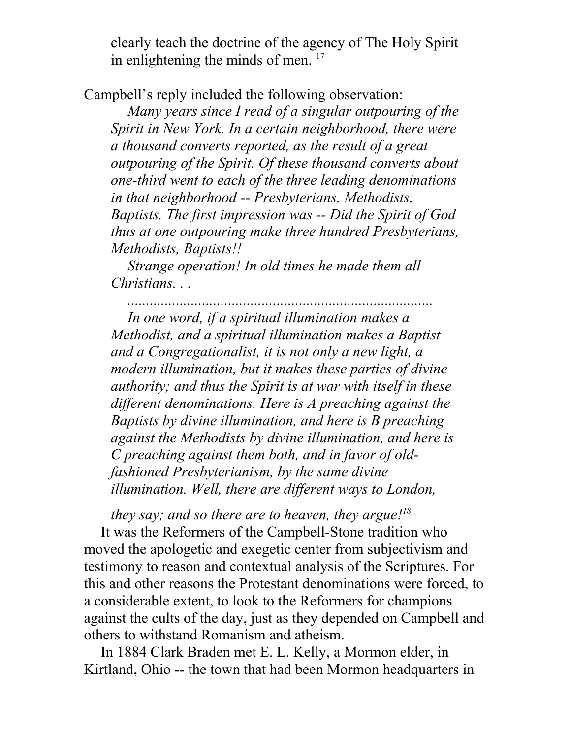clearly teach the doctrine of the agency of The Holy Spirit in enlightening the minds of men.<sup>17</sup>

Campbell's reply included the following observation:

*Many years since I read of a singular outpouring of the Spirit in New York. In a certain neighborhood, there were a thousand converts reported, as the result of a great outpouring of the Spirit. Of these thousand converts about one-third went to each of the three leading denominations in that neighborhood -- Presbyterians, Methodists, Baptists. The first impression was -- Did the Spirit of God thus at one outpouring make three hundred Presbyterians, Methodists, Baptists!!* 

*Strange operation! In old times he made them all Christians. . .* 

*..................................................................................* 

*In one word, if a spiritual illumination makes a Methodist, and a spiritual illumination makes a Baptist and a Congregationalist, it is not only a new light, a modern illumination, but it makes these parties of divine authority; and thus the Spirit is at war with itself in these different denominations. Here is A preaching against the Baptists by divine illumination, and here is B preaching against the Methodists by divine illumination, and here is C preaching against them both, and in favor of oldfashioned Presbyterianism, by the same divine illumination. Well, there are different ways to London,* 

*they say; and so there are to heaven, they argue!<sup>18</sup>* It was the Reformers of the Campbell-Stone tradition who moved the apologetic and exegetic center from subjectivism and testimony to reason and contextual analysis of the Scriptures. For this and other reasons the Protestant denominations were forced, to a considerable extent, to look to the Reformers for champions against the cults of the day, just as they depended on Campbell and others to withstand Romanism and atheism.

In 1884 Clark Braden met E. L. Kelly, a Mormon elder, in Kirtland, Ohio -- the town that had been Mormon headquarters in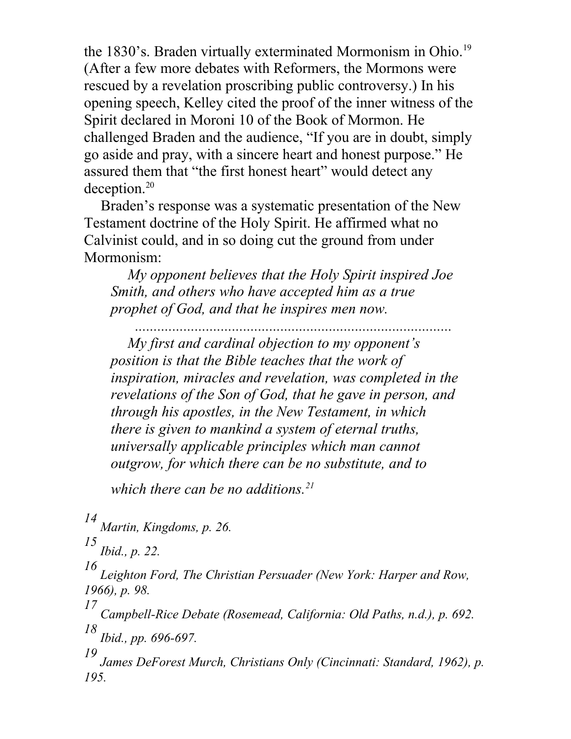the 1830's. Braden virtually exterminated Mormonism in Ohio.<sup>19</sup> (After a few more debates with Reformers, the Mormons were rescued by a revelation proscribing public controversy.) In his opening speech, Kelley cited the proof of the inner witness of the Spirit declared in Moroni 10 of the Book of Mormon. He challenged Braden and the audience, "If you are in doubt, simply go aside and pray, with a sincere heart and honest purpose." He assured them that "the first honest heart" would detect any deception.<sup>20</sup>

Braden's response was a systematic presentation of the New Testament doctrine of the Holy Spirit. He affirmed what no Calvinist could, and in so doing cut the ground from under Mormonism:

*My opponent believes that the Holy Spirit inspired Joe Smith, and others who have accepted him as a true prophet of God, and that he inspires men now.* 

*..................................................................................... My first and cardinal objection to my opponent's position is that the Bible teaches that the work of inspiration, miracles and revelation, was completed in the revelations of the Son of God, that he gave in person, and through his apostles, in the New Testament, in which there is given to mankind a system of eternal truths, universally applicable principles which man cannot outgrow, for which there can be no substitute, and to* 

*which there can be no additions.<sup>21</sup>*

*14 Martin, Kingdoms, p. 26.* 

*15 Ibid., p. 22.* 

*16 Leighton Ford, The Christian Persuader (New York: Harper and Row, 1966), p. 98.* 

*17 Campbell-Rice Debate (Rosemead, California: Old Paths, n.d.), p. 692. 18 Ibid., pp. 696-697.* 

*19 James DeForest Murch, Christians Only (Cincinnati: Standard, 1962), p. 195.*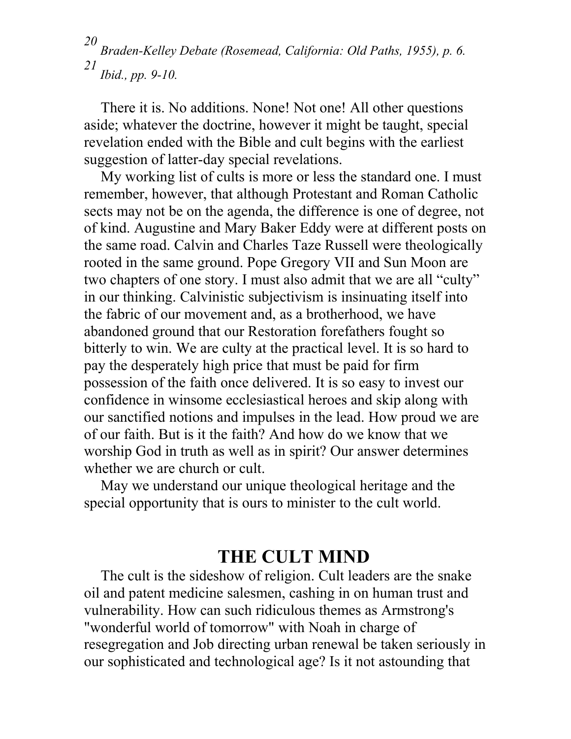*20 Braden-Kelley Debate (Rosemead, California: Old Paths, 1955), p. 6. 21 Ibid., pp. 9-10.* 

There it is. No additions. None! Not one! All other questions aside; whatever the doctrine, however it might be taught, special revelation ended with the Bible and cult begins with the earliest suggestion of latter-day special revelations.

My working list of cults is more or less the standard one. I must remember, however, that although Protestant and Roman Catholic sects may not be on the agenda, the difference is one of degree, not of kind. Augustine and Mary Baker Eddy were at different posts on the same road. Calvin and Charles Taze Russell were theologically rooted in the same ground. Pope Gregory VII and Sun Moon are two chapters of one story. I must also admit that we are all "culty" in our thinking. Calvinistic subjectivism is insinuating itself into the fabric of our movement and, as a brotherhood, we have abandoned ground that our Restoration forefathers fought so bitterly to win. We are culty at the practical level. It is so hard to pay the desperately high price that must be paid for firm possession of the faith once delivered. It is so easy to invest our confidence in winsome ecclesiastical heroes and skip along with our sanctified notions and impulses in the lead. How proud we are of our faith. But is it the faith? And how do we know that we worship God in truth as well as in spirit? Our answer determines whether we are church or cult.

May we understand our unique theological heritage and the special opportunity that is ours to minister to the cult world.

## **THE CULT MIND**

The cult is the sideshow of religion. Cult leaders are the snake oil and patent medicine salesmen, cashing in on human trust and vulnerability. How can such ridiculous themes as Armstrong's "wonderful world of tomorrow" with Noah in charge of resegregation and Job directing urban renewal be taken seriously in our sophisticated and technological age? Is it not astounding that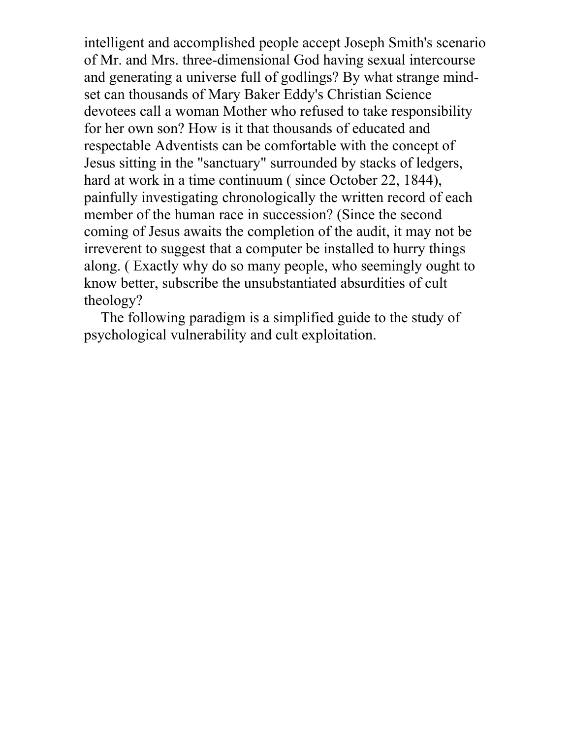intelligent and accomplished people accept Joseph Smith's scenario of Mr. and Mrs. three-dimensional God having sexual intercourse and generating a universe full of godlings? By what strange mindset can thousands of Mary Baker Eddy's Christian Science devotees call a woman Mother who refused to take responsibility for her own son? How is it that thousands of educated and respectable Adventists can be comfortable with the concept of Jesus sitting in the "sanctuary" surrounded by stacks of ledgers, hard at work in a time continuum (since October 22, 1844), painfully investigating chronologically the written record of each member of the human race in succession? (Since the second coming of Jesus awaits the completion of the audit, it may not be irreverent to suggest that a computer be installed to hurry things along. ( Exactly why do so many people, who seemingly ought to know better, subscribe the unsubstantiated absurdities of cult theology?

The following paradigm is a simplified guide to the study of psychological vulnerability and cult exploitation.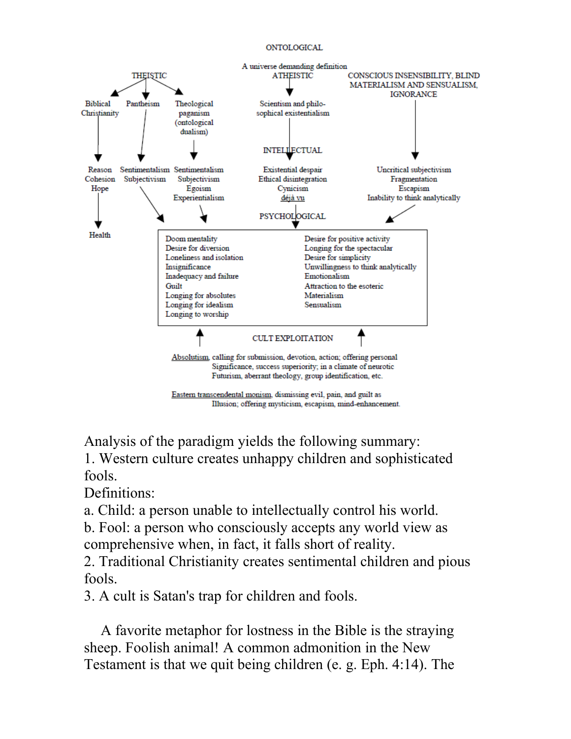#### ONTOLOGICAL



Analysis of the paradigm yields the following summary: 1. Western culture creates unhappy children and sophisticated fools.

Definitions:

a. Child: a person unable to intellectually control his world.

b. Fool: a person who consciously accepts any world view as comprehensive when, in fact, it falls short of reality.

2. Traditional Christianity creates sentimental children and pious fools.

3. A cult is Satan's trap for children and fools.

A favorite metaphor for lostness in the Bible is the straying sheep. Foolish animal! A common admonition in the New Testament is that we quit being children (e. g. Eph. 4:14). The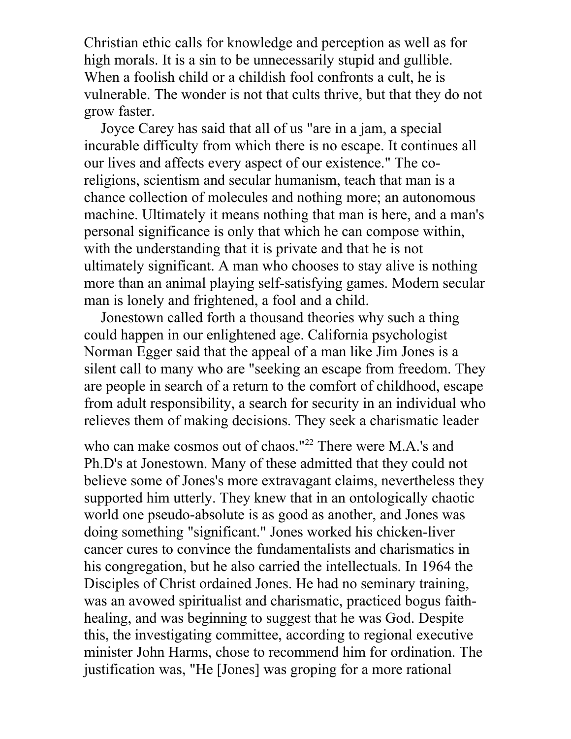Christian ethic calls for knowledge and perception as well as for high morals. It is a sin to be unnecessarily stupid and gullible. When a foolish child or a childish fool confronts a cult, he is vulnerable. The wonder is not that cults thrive, but that they do not grow faster.

Joyce Carey has said that all of us "are in a jam, a special incurable difficulty from which there is no escape. It continues all our lives and affects every aspect of our existence." The coreligions, scientism and secular humanism, teach that man is a chance collection of molecules and nothing more; an autonomous machine. Ultimately it means nothing that man is here, and a man's personal significance is only that which he can compose within, with the understanding that it is private and that he is not ultimately significant. A man who chooses to stay alive is nothing more than an animal playing self-satisfying games. Modern secular man is lonely and frightened, a fool and a child.

Jonestown called forth a thousand theories why such a thing could happen in our enlightened age. California psychologist Norman Egger said that the appeal of a man like Jim Jones is a silent call to many who are "seeking an escape from freedom. They are people in search of a return to the comfort of childhood, escape from adult responsibility, a search for security in an individual who relieves them of making decisions. They seek a charismatic leader

who can make cosmos out of chaos."<sup>22</sup> There were M.A.'s and Ph.D's at Jonestown. Many of these admitted that they could not believe some of Jones's more extravagant claims, nevertheless they supported him utterly. They knew that in an ontologically chaotic world one pseudo-absolute is as good as another, and Jones was doing something "significant." Jones worked his chicken-liver cancer cures to convince the fundamentalists and charismatics in his congregation, but he also carried the intellectuals. In 1964 the Disciples of Christ ordained Jones. He had no seminary training, was an avowed spiritualist and charismatic, practiced bogus faithhealing, and was beginning to suggest that he was God. Despite this, the investigating committee, according to regional executive minister John Harms, chose to recommend him for ordination. The justification was, "He [Jones] was groping for a more rational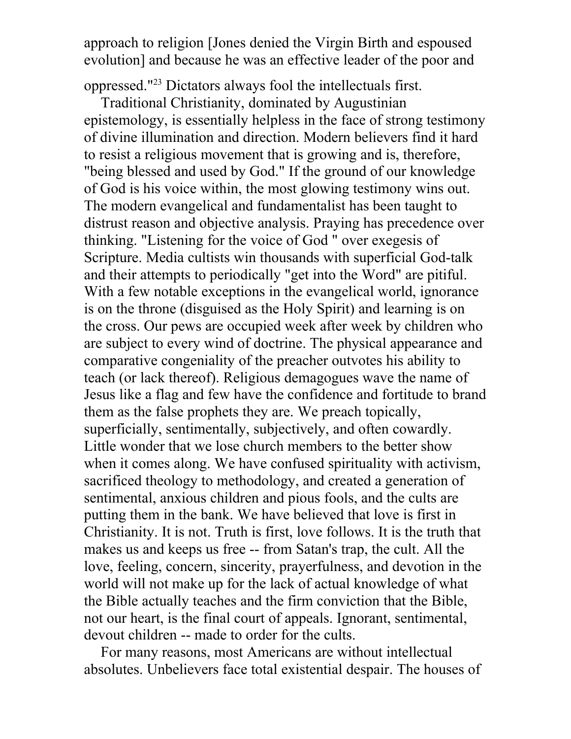approach to religion [Jones denied the Virgin Birth and espoused evolution] and because he was an effective leader of the poor and

oppressed."<sup>23</sup> Dictators always fool the intellectuals first.

Traditional Christianity, dominated by Augustinian epistemology, is essentially helpless in the face of strong testimony of divine illumination and direction. Modern believers find it hard to resist a religious movement that is growing and is, therefore, "being blessed and used by God." If the ground of our knowledge of God is his voice within, the most glowing testimony wins out. The modern evangelical and fundamentalist has been taught to distrust reason and objective analysis. Praying has precedence over thinking. "Listening for the voice of God " over exegesis of Scripture. Media cultists win thousands with superficial God-talk and their attempts to periodically "get into the Word" are pitiful. With a few notable exceptions in the evangelical world, ignorance is on the throne (disguised as the Holy Spirit) and learning is on the cross. Our pews are occupied week after week by children who are subject to every wind of doctrine. The physical appearance and comparative congeniality of the preacher outvotes his ability to teach (or lack thereof). Religious demagogues wave the name of Jesus like a flag and few have the confidence and fortitude to brand them as the false prophets they are. We preach topically, superficially, sentimentally, subjectively, and often cowardly. Little wonder that we lose church members to the better show when it comes along. We have confused spirituality with activism, sacrificed theology to methodology, and created a generation of sentimental, anxious children and pious fools, and the cults are putting them in the bank. We have believed that love is first in Christianity. It is not. Truth is first, love follows. It is the truth that makes us and keeps us free -- from Satan's trap, the cult. All the love, feeling, concern, sincerity, prayerfulness, and devotion in the world will not make up for the lack of actual knowledge of what the Bible actually teaches and the firm conviction that the Bible, not our heart, is the final court of appeals. Ignorant, sentimental, devout children -- made to order for the cults.

For many reasons, most Americans are without intellectual absolutes. Unbelievers face total existential despair. The houses of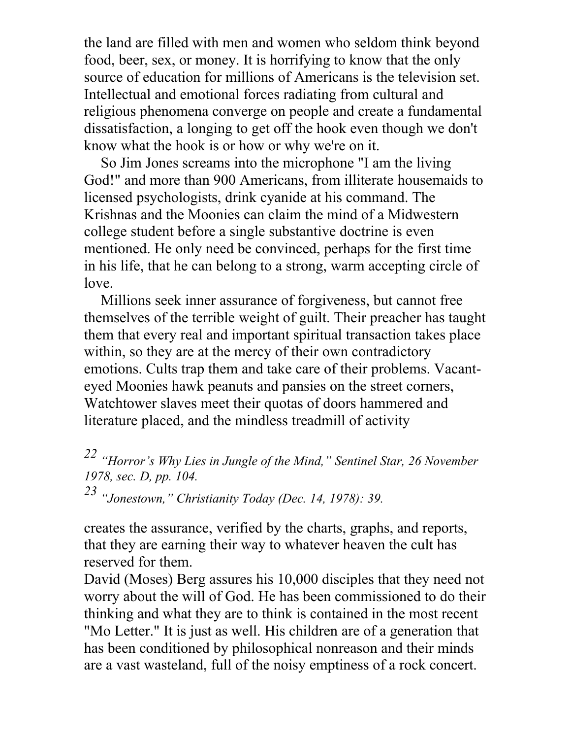the land are filled with men and women who seldom think beyond food, beer, sex, or money. It is horrifying to know that the only source of education for millions of Americans is the television set. Intellectual and emotional forces radiating from cultural and religious phenomena converge on people and create a fundamental dissatisfaction, a longing to get off the hook even though we don't know what the hook is or how or why we're on it.

So Jim Jones screams into the microphone "I am the living God!" and more than 900 Americans, from illiterate housemaids to licensed psychologists, drink cyanide at his command. The Krishnas and the Moonies can claim the mind of a Midwestern college student before a single substantive doctrine is even mentioned. He only need be convinced, perhaps for the first time in his life, that he can belong to a strong, warm accepting circle of love.

Millions seek inner assurance of forgiveness, but cannot free themselves of the terrible weight of guilt. Their preacher has taught them that every real and important spiritual transaction takes place within, so they are at the mercy of their own contradictory emotions. Cults trap them and take care of their problems. Vacanteyed Moonies hawk peanuts and pansies on the street corners, Watchtower slaves meet their quotas of doors hammered and literature placed, and the mindless treadmill of activity

*22 "Horror's Why Lies in Jungle of the Mind," Sentinel Star, 26 November 1978, sec. D, pp. 104. 23 "Jonestown," Christianity Today (Dec. 14, 1978): 39.* 

creates the assurance, verified by the charts, graphs, and reports, that they are earning their way to whatever heaven the cult has reserved for them.

David (Moses) Berg assures his 10,000 disciples that they need not worry about the will of God. He has been commissioned to do their thinking and what they are to think is contained in the most recent "Mo Letter." It is just as well. His children are of a generation that has been conditioned by philosophical nonreason and their minds are a vast wasteland, full of the noisy emptiness of a rock concert.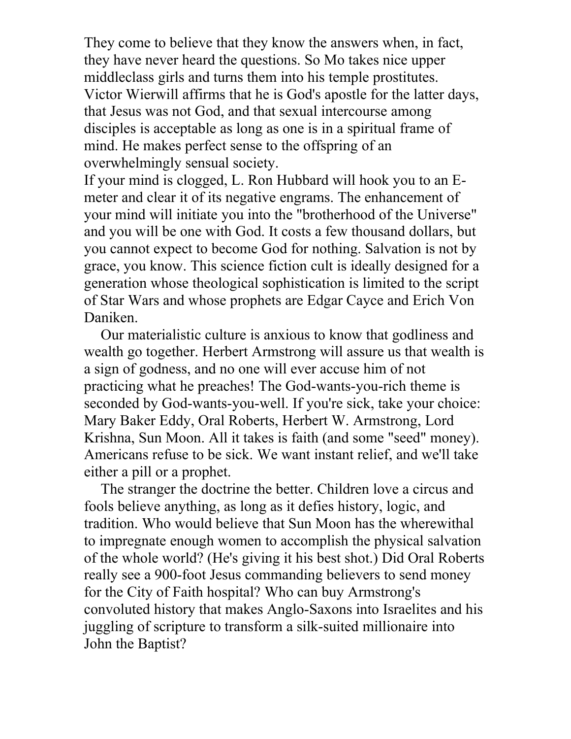They come to believe that they know the answers when, in fact, they have never heard the questions. So Mo takes nice upper middleclass girls and turns them into his temple prostitutes. Victor Wierwill affirms that he is God's apostle for the latter days, that Jesus was not God, and that sexual intercourse among disciples is acceptable as long as one is in a spiritual frame of mind. He makes perfect sense to the offspring of an overwhelmingly sensual society.

If your mind is clogged, L. Ron Hubbard will hook you to an Emeter and clear it of its negative engrams. The enhancement of your mind will initiate you into the "brotherhood of the Universe" and you will be one with God. It costs a few thousand dollars, but you cannot expect to become God for nothing. Salvation is not by grace, you know. This science fiction cult is ideally designed for a generation whose theological sophistication is limited to the script of Star Wars and whose prophets are Edgar Cayce and Erich Von Daniken.

Our materialistic culture is anxious to know that godliness and wealth go together. Herbert Armstrong will assure us that wealth is a sign of godness, and no one will ever accuse him of not practicing what he preaches! The God-wants-you-rich theme is seconded by God-wants-you-well. If you're sick, take your choice: Mary Baker Eddy, Oral Roberts, Herbert W. Armstrong, Lord Krishna, Sun Moon. All it takes is faith (and some "seed" money). Americans refuse to be sick. We want instant relief, and we'll take either a pill or a prophet.

The stranger the doctrine the better. Children love a circus and fools believe anything, as long as it defies history, logic, and tradition. Who would believe that Sun Moon has the wherewithal to impregnate enough women to accomplish the physical salvation of the whole world? (He's giving it his best shot.) Did Oral Roberts really see a 900-foot Jesus commanding believers to send money for the City of Faith hospital? Who can buy Armstrong's convoluted history that makes Anglo-Saxons into Israelites and his juggling of scripture to transform a silk-suited millionaire into John the Baptist?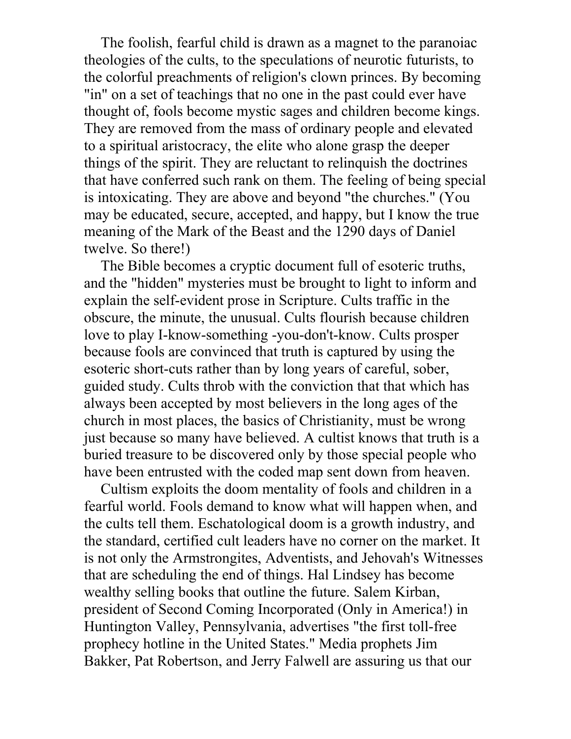The foolish, fearful child is drawn as a magnet to the paranoiac theologies of the cults, to the speculations of neurotic futurists, to the colorful preachments of religion's clown princes. By becoming "in" on a set of teachings that no one in the past could ever have thought of, fools become mystic sages and children become kings. They are removed from the mass of ordinary people and elevated to a spiritual aristocracy, the elite who alone grasp the deeper things of the spirit. They are reluctant to relinquish the doctrines that have conferred such rank on them. The feeling of being special is intoxicating. They are above and beyond "the churches." (You may be educated, secure, accepted, and happy, but I know the true meaning of the Mark of the Beast and the 1290 days of Daniel twelve. So there!)

The Bible becomes a cryptic document full of esoteric truths, and the "hidden" mysteries must be brought to light to inform and explain the self-evident prose in Scripture. Cults traffic in the obscure, the minute, the unusual. Cults flourish because children love to play I-know-something -you-don't-know. Cults prosper because fools are convinced that truth is captured by using the esoteric short-cuts rather than by long years of careful, sober, guided study. Cults throb with the conviction that that which has always been accepted by most believers in the long ages of the church in most places, the basics of Christianity, must be wrong just because so many have believed. A cultist knows that truth is a buried treasure to be discovered only by those special people who have been entrusted with the coded map sent down from heaven.

Cultism exploits the doom mentality of fools and children in a fearful world. Fools demand to know what will happen when, and the cults tell them. Eschatological doom is a growth industry, and the standard, certified cult leaders have no corner on the market. It is not only the Armstrongites, Adventists, and Jehovah's Witnesses that are scheduling the end of things. Hal Lindsey has become wealthy selling books that outline the future. Salem Kirban, president of Second Coming Incorporated (Only in America!) in Huntington Valley, Pennsylvania, advertises "the first toll-free prophecy hotline in the United States." Media prophets Jim Bakker, Pat Robertson, and Jerry Falwell are assuring us that our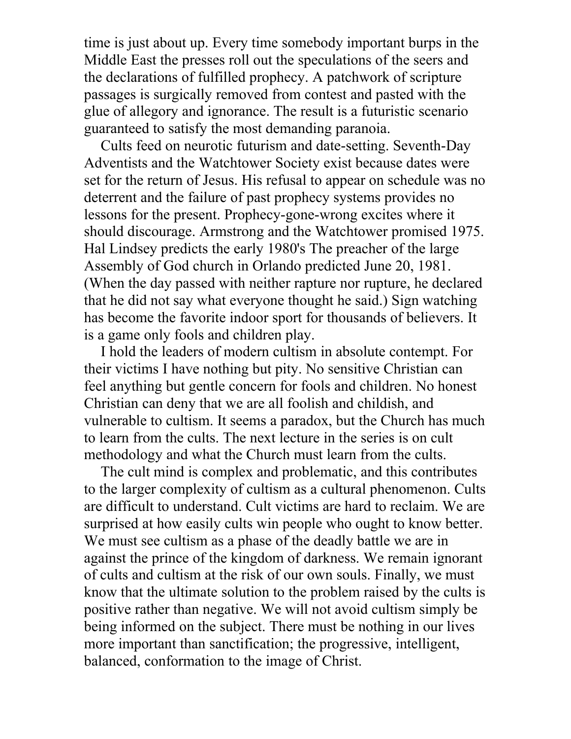time is just about up. Every time somebody important burps in the Middle East the presses roll out the speculations of the seers and the declarations of fulfilled prophecy. A patchwork of scripture passages is surgically removed from contest and pasted with the glue of allegory and ignorance. The result is a futuristic scenario guaranteed to satisfy the most demanding paranoia.

Cults feed on neurotic futurism and date-setting. Seventh-Day Adventists and the Watchtower Society exist because dates were set for the return of Jesus. His refusal to appear on schedule was no deterrent and the failure of past prophecy systems provides no lessons for the present. Prophecy-gone-wrong excites where it should discourage. Armstrong and the Watchtower promised 1975. Hal Lindsey predicts the early 1980's The preacher of the large Assembly of God church in Orlando predicted June 20, 1981. (When the day passed with neither rapture nor rupture, he declared that he did not say what everyone thought he said.) Sign watching has become the favorite indoor sport for thousands of believers. It is a game only fools and children play.

I hold the leaders of modern cultism in absolute contempt. For their victims I have nothing but pity. No sensitive Christian can feel anything but gentle concern for fools and children. No honest Christian can deny that we are all foolish and childish, and vulnerable to cultism. It seems a paradox, but the Church has much to learn from the cults. The next lecture in the series is on cult methodology and what the Church must learn from the cults.

The cult mind is complex and problematic, and this contributes to the larger complexity of cultism as a cultural phenomenon. Cults are difficult to understand. Cult victims are hard to reclaim. We are surprised at how easily cults win people who ought to know better. We must see cultism as a phase of the deadly battle we are in against the prince of the kingdom of darkness. We remain ignorant of cults and cultism at the risk of our own souls. Finally, we must know that the ultimate solution to the problem raised by the cults is positive rather than negative. We will not avoid cultism simply be being informed on the subject. There must be nothing in our lives more important than sanctification; the progressive, intelligent, balanced, conformation to the image of Christ.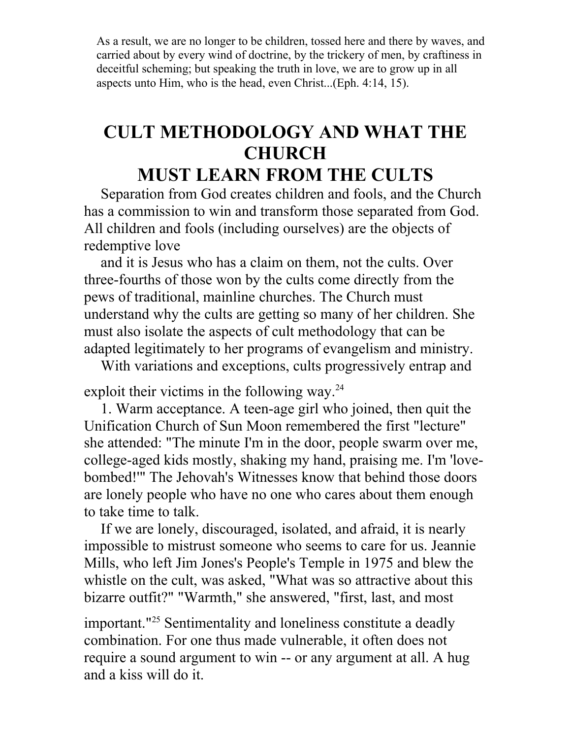As a result, we are no longer to be children, tossed here and there by waves, and carried about by every wind of doctrine, by the trickery of men, by craftiness in deceitful scheming; but speaking the truth in love, we are to grow up in all aspects unto Him, who is the head, even Christ...(Eph. 4:14, 15).

# **CULT METHODOLOGY AND WHAT THE CHURCH**

## **MUST LEARN FROM THE CULTS**

Separation from God creates children and fools, and the Church has a commission to win and transform those separated from God. All children and fools (including ourselves) are the objects of redemptive love

and it is Jesus who has a claim on them, not the cults. Over three-fourths of those won by the cults come directly from the pews of traditional, mainline churches. The Church must understand why the cults are getting so many of her children. She must also isolate the aspects of cult methodology that can be adapted legitimately to her programs of evangelism and ministry.

With variations and exceptions, cults progressively entrap and

exploit their victims in the following way.<sup>24</sup>

1. Warm acceptance. A teen-age girl who joined, then quit the Unification Church of Sun Moon remembered the first "lecture" she attended: "The minute I'm in the door, people swarm over me, college-aged kids mostly, shaking my hand, praising me. I'm 'lovebombed!'" The Jehovah's Witnesses know that behind those doors are lonely people who have no one who cares about them enough to take time to talk.

If we are lonely, discouraged, isolated, and afraid, it is nearly impossible to mistrust someone who seems to care for us. Jeannie Mills, who left Jim Jones's People's Temple in 1975 and blew the whistle on the cult, was asked, "What was so attractive about this bizarre outfit?" "Warmth," she answered, "first, last, and most

important."<sup>25</sup> Sentimentality and loneliness constitute a deadly combination. For one thus made vulnerable, it often does not require a sound argument to win -- or any argument at all. A hug and a kiss will do it.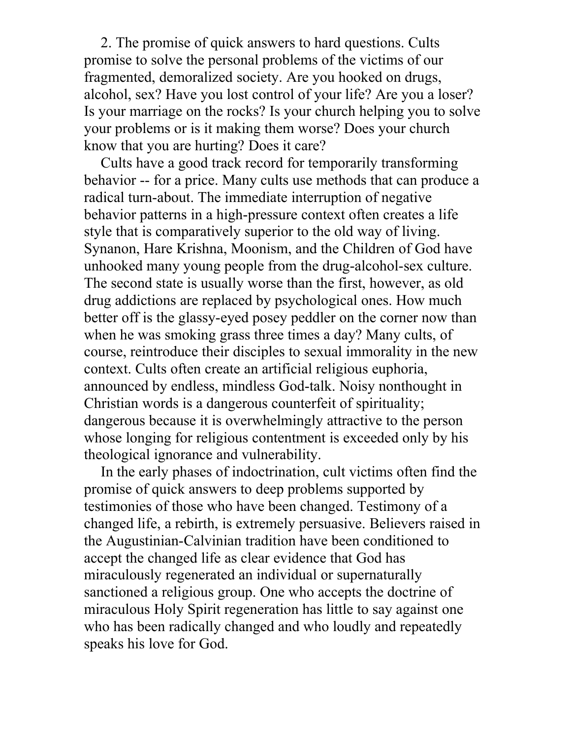2. The promise of quick answers to hard questions. Cults promise to solve the personal problems of the victims of our fragmented, demoralized society. Are you hooked on drugs, alcohol, sex? Have you lost control of your life? Are you a loser? Is your marriage on the rocks? Is your church helping you to solve your problems or is it making them worse? Does your church know that you are hurting? Does it care?

Cults have a good track record for temporarily transforming behavior -- for a price. Many cults use methods that can produce a radical turn-about. The immediate interruption of negative behavior patterns in a high-pressure context often creates a life style that is comparatively superior to the old way of living. Synanon, Hare Krishna, Moonism, and the Children of God have unhooked many young people from the drug-alcohol-sex culture. The second state is usually worse than the first, however, as old drug addictions are replaced by psychological ones. How much better off is the glassy-eyed posey peddler on the corner now than when he was smoking grass three times a day? Many cults, of course, reintroduce their disciples to sexual immorality in the new context. Cults often create an artificial religious euphoria, announced by endless, mindless God-talk. Noisy nonthought in Christian words is a dangerous counterfeit of spirituality; dangerous because it is overwhelmingly attractive to the person whose longing for religious contentment is exceeded only by his theological ignorance and vulnerability.

In the early phases of indoctrination, cult victims often find the promise of quick answers to deep problems supported by testimonies of those who have been changed. Testimony of a changed life, a rebirth, is extremely persuasive. Believers raised in the Augustinian-Calvinian tradition have been conditioned to accept the changed life as clear evidence that God has miraculously regenerated an individual or supernaturally sanctioned a religious group. One who accepts the doctrine of miraculous Holy Spirit regeneration has little to say against one who has been radically changed and who loudly and repeatedly speaks his love for God.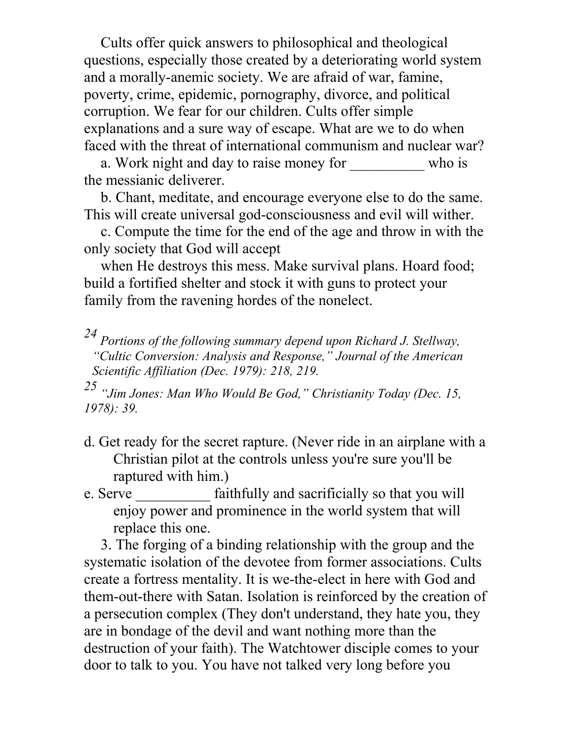Cults offer quick answers to philosophical and theological questions, especially those created by a deteriorating world system and a morally-anemic society. We are afraid of war, famine, poverty, crime, epidemic, pornography, divorce, and political corruption. We fear for our children. Cults offer simple explanations and a sure way of escape. What are we to do when faced with the threat of international communism and nuclear war?

a. Work night and day to raise money for \_\_\_\_\_\_\_\_\_\_\_ who is the messianic deliverer.

b. Chant, meditate, and encourage everyone else to do the same. This will create universal god-consciousness and evil will wither.

c. Compute the time for the end of the age and throw in with the only society that God will accept

when He destroys this mess. Make survival plans. Hoard food; build a fortified shelter and stock it with guns to protect your family from the ravening hordes of the nonelect.

*24 Portions of the following summary depend upon Richard J. Stellway, "Cultic Conversion: Analysis and Response," Journal of the American Scientific Affiliation (Dec. 1979): 218, 219.* 

*25 "Jim Jones: Man Who Would Be God," Christianity Today (Dec. 15, 1978): 39.* 

- d. Get ready for the secret rapture. (Never ride in an airplane with a Christian pilot at the controls unless you're sure you'll be raptured with him.)
- e. Serve **EXACTE:** faithfully and sacrificially so that you will enjoy power and prominence in the world system that will replace this one.

3. The forging of a binding relationship with the group and the systematic isolation of the devotee from former associations. Cults create a fortress mentality. It is we-the-elect in here with God and them-out-there with Satan. Isolation is reinforced by the creation of a persecution complex (They don't understand, they hate you, they are in bondage of the devil and want nothing more than the destruction of your faith). The Watchtower disciple comes to your door to talk to you. You have not talked very long before you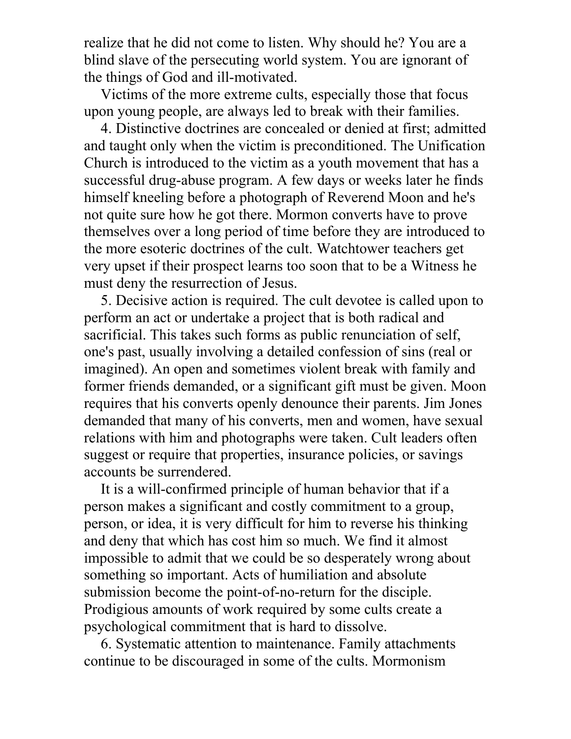realize that he did not come to listen. Why should he? You are a blind slave of the persecuting world system. You are ignorant of the things of God and ill-motivated.

Victims of the more extreme cults, especially those that focus upon young people, are always led to break with their families.

4. Distinctive doctrines are concealed or denied at first; admitted and taught only when the victim is preconditioned. The Unification Church is introduced to the victim as a youth movement that has a successful drug-abuse program. A few days or weeks later he finds himself kneeling before a photograph of Reverend Moon and he's not quite sure how he got there. Mormon converts have to prove themselves over a long period of time before they are introduced to the more esoteric doctrines of the cult. Watchtower teachers get very upset if their prospect learns too soon that to be a Witness he must deny the resurrection of Jesus.

5. Decisive action is required. The cult devotee is called upon to perform an act or undertake a project that is both radical and sacrificial. This takes such forms as public renunciation of self, one's past, usually involving a detailed confession of sins (real or imagined). An open and sometimes violent break with family and former friends demanded, or a significant gift must be given. Moon requires that his converts openly denounce their parents. Jim Jones demanded that many of his converts, men and women, have sexual relations with him and photographs were taken. Cult leaders often suggest or require that properties, insurance policies, or savings accounts be surrendered.

It is a will-confirmed principle of human behavior that if a person makes a significant and costly commitment to a group, person, or idea, it is very difficult for him to reverse his thinking and deny that which has cost him so much. We find it almost impossible to admit that we could be so desperately wrong about something so important. Acts of humiliation and absolute submission become the point-of-no-return for the disciple. Prodigious amounts of work required by some cults create a psychological commitment that is hard to dissolve.

6. Systematic attention to maintenance. Family attachments continue to be discouraged in some of the cults. Mormonism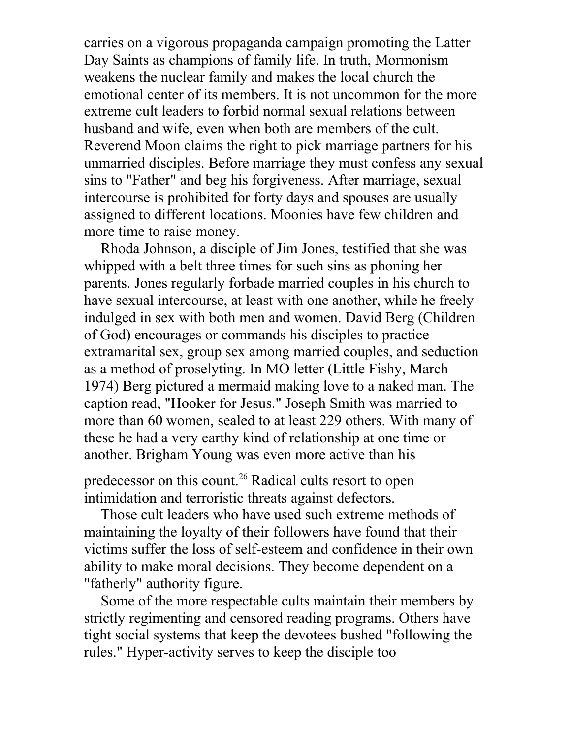carries on a vigorous propaganda campaign promoting the Latter Day Saints as champions of family life. In truth, Mormonism weakens the nuclear family and makes the local church the emotional center of its members. It is not uncommon for the more extreme cult leaders to forbid normal sexual relations between husband and wife, even when both are members of the cult. Reverend Moon claims the right to pick marriage partners for his unmarried disciples. Before marriage they must confess any sexual sins to "Father" and beg his forgiveness. After marriage, sexual intercourse is prohibited for forty days and spouses are usually assigned to different locations. Moonies have few children and more time to raise money.

Rhoda Johnson, a disciple of Jim Jones, testified that she was whipped with a belt three times for such sins as phoning her parents. Jones regularly forbade married couples in his church to have sexual intercourse, at least with one another, while he freely indulged in sex with both men and women. David Berg (Children of God) encourages or commands his disciples to practice extramarital sex, group sex among married couples, and seduction as a method of proselyting. In MO letter (Little Fishy, March 1974) Berg pictured a mermaid making love to a naked man. The caption read, "Hooker for Jesus." Joseph Smith was married to more than 60 women, sealed to at least 229 others. With many of these he had a very earthy kind of relationship at one time or another. Brigham Young was even more active than his

predecessor on this count.<sup>26</sup> Radical cults resort to open intimidation and terroristic threats against defectors.

Those cult leaders who have used such extreme methods of maintaining the loyalty of their followers have found that their victims suffer the loss of self-esteem and confidence in their own ability to make moral decisions. They become dependent on a "fatherly" authority figure.

Some of the more respectable cults maintain their members by strictly regimenting and censored reading programs. Others have tight social systems that keep the devotees bushed "following the rules." Hyper-activity serves to keep the disciple too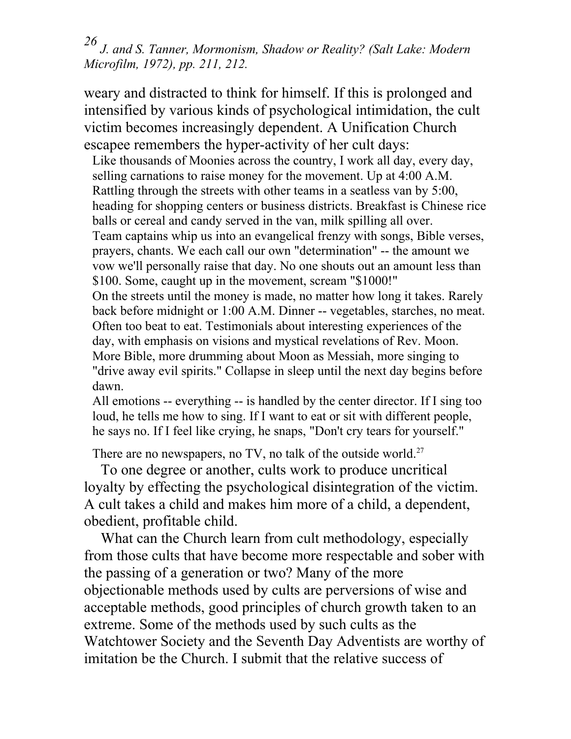*26 J. and S. Tanner, Mormonism, Shadow or Reality? (Salt Lake: Modern Microfilm, 1972), pp. 211, 212.* 

weary and distracted to think for himself. If this is prolonged and intensified by various kinds of psychological intimidation, the cult victim becomes increasingly dependent. A Unification Church escapee remembers the hyper-activity of her cult days:

Like thousands of Moonies across the country, I work all day, every day, selling carnations to raise money for the movement. Up at 4:00 A.M. Rattling through the streets with other teams in a seatless van by 5:00, heading for shopping centers or business districts. Breakfast is Chinese rice balls or cereal and candy served in the van, milk spilling all over. Team captains whip us into an evangelical frenzy with songs, Bible verses, prayers, chants. We each call our own "determination" -- the amount we vow we'll personally raise that day. No one shouts out an amount less than \$100. Some, caught up in the movement, scream "\$1000!" On the streets until the money is made, no matter how long it takes. Rarely back before midnight or 1:00 A.M. Dinner -- vegetables, starches, no meat. Often too beat to eat. Testimonials about interesting experiences of the day, with emphasis on visions and mystical revelations of Rev. Moon. More Bible, more drumming about Moon as Messiah, more singing to "drive away evil spirits." Collapse in sleep until the next day begins before dawn.

All emotions -- everything -- is handled by the center director. If I sing too loud, he tells me how to sing. If I want to eat or sit with different people, he says no. If I feel like crying, he snaps, "Don't cry tears for yourself."

There are no newspapers, no TV, no talk of the outside world.<sup>27</sup>

To one degree or another, cults work to produce uncritical loyalty by effecting the psychological disintegration of the victim. A cult takes a child and makes him more of a child, a dependent, obedient, profitable child.

What can the Church learn from cult methodology, especially from those cults that have become more respectable and sober with the passing of a generation or two? Many of the more objectionable methods used by cults are perversions of wise and acceptable methods, good principles of church growth taken to an extreme. Some of the methods used by such cults as the Watchtower Society and the Seventh Day Adventists are worthy of imitation be the Church. I submit that the relative success of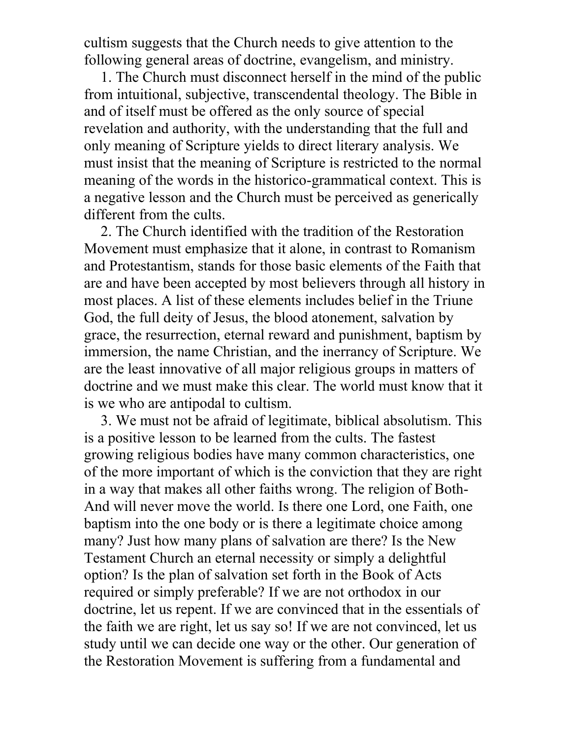cultism suggests that the Church needs to give attention to the following general areas of doctrine, evangelism, and ministry.

1. The Church must disconnect herself in the mind of the public from intuitional, subjective, transcendental theology. The Bible in and of itself must be offered as the only source of special revelation and authority, with the understanding that the full and only meaning of Scripture yields to direct literary analysis. We must insist that the meaning of Scripture is restricted to the normal meaning of the words in the historico-grammatical context. This is a negative lesson and the Church must be perceived as generically different from the cults.

2. The Church identified with the tradition of the Restoration Movement must emphasize that it alone, in contrast to Romanism and Protestantism, stands for those basic elements of the Faith that are and have been accepted by most believers through all history in most places. A list of these elements includes belief in the Triune God, the full deity of Jesus, the blood atonement, salvation by grace, the resurrection, eternal reward and punishment, baptism by immersion, the name Christian, and the inerrancy of Scripture. We are the least innovative of all major religious groups in matters of doctrine and we must make this clear. The world must know that it is we who are antipodal to cultism.

3. We must not be afraid of legitimate, biblical absolutism. This is a positive lesson to be learned from the cults. The fastest growing religious bodies have many common characteristics, one of the more important of which is the conviction that they are right in a way that makes all other faiths wrong. The religion of Both-And will never move the world. Is there one Lord, one Faith, one baptism into the one body or is there a legitimate choice among many? Just how many plans of salvation are there? Is the New Testament Church an eternal necessity or simply a delightful option? Is the plan of salvation set forth in the Book of Acts required or simply preferable? If we are not orthodox in our doctrine, let us repent. If we are convinced that in the essentials of the faith we are right, let us say so! If we are not convinced, let us study until we can decide one way or the other. Our generation of the Restoration Movement is suffering from a fundamental and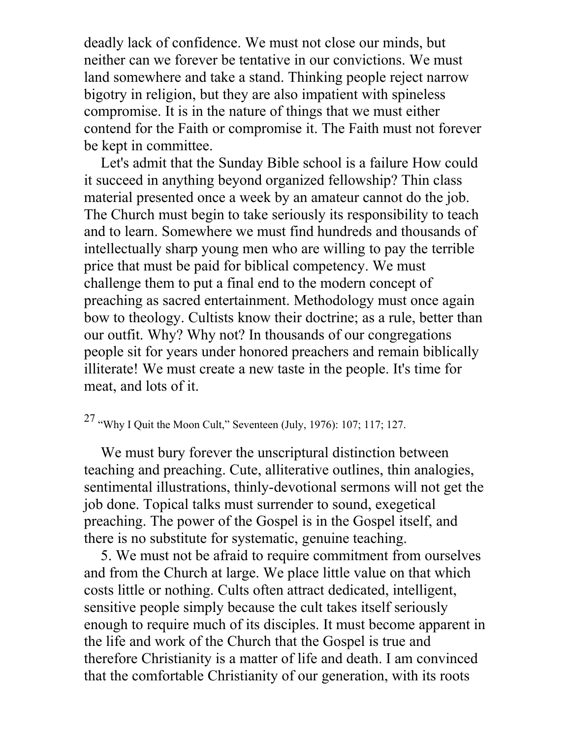deadly lack of confidence. We must not close our minds, but neither can we forever be tentative in our convictions. We must land somewhere and take a stand. Thinking people reject narrow bigotry in religion, but they are also impatient with spineless compromise. It is in the nature of things that we must either contend for the Faith or compromise it. The Faith must not forever be kept in committee.

Let's admit that the Sunday Bible school is a failure How could it succeed in anything beyond organized fellowship? Thin class material presented once a week by an amateur cannot do the job. The Church must begin to take seriously its responsibility to teach and to learn. Somewhere we must find hundreds and thousands of intellectually sharp young men who are willing to pay the terrible price that must be paid for biblical competency. We must challenge them to put a final end to the modern concept of preaching as sacred entertainment. Methodology must once again bow to theology. Cultists know their doctrine; as a rule, better than our outfit. Why? Why not? In thousands of our congregations people sit for years under honored preachers and remain biblically illiterate! We must create a new taste in the people. It's time for meat, and lots of it.

## 27 "Why I Quit the Moon Cult," Seventeen (July, 1976): 107; 117; 127.

We must bury forever the unscriptural distinction between teaching and preaching. Cute, alliterative outlines, thin analogies, sentimental illustrations, thinly-devotional sermons will not get the job done. Topical talks must surrender to sound, exegetical preaching. The power of the Gospel is in the Gospel itself, and there is no substitute for systematic, genuine teaching.

5. We must not be afraid to require commitment from ourselves and from the Church at large. We place little value on that which costs little or nothing. Cults often attract dedicated, intelligent, sensitive people simply because the cult takes itself seriously enough to require much of its disciples. It must become apparent in the life and work of the Church that the Gospel is true and therefore Christianity is a matter of life and death. I am convinced that the comfortable Christianity of our generation, with its roots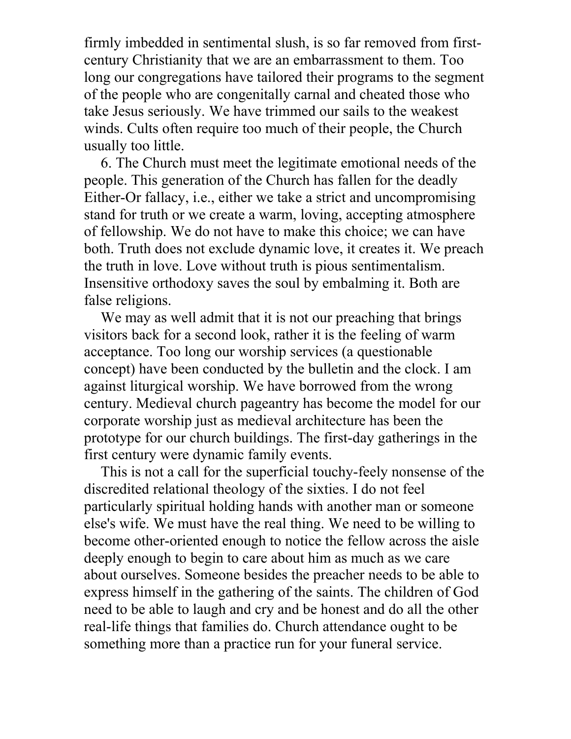firmly imbedded in sentimental slush, is so far removed from firstcentury Christianity that we are an embarrassment to them. Too long our congregations have tailored their programs to the segment of the people who are congenitally carnal and cheated those who take Jesus seriously. We have trimmed our sails to the weakest winds. Cults often require too much of their people, the Church usually too little.

6. The Church must meet the legitimate emotional needs of the people. This generation of the Church has fallen for the deadly Either-Or fallacy, i.e., either we take a strict and uncompromising stand for truth or we create a warm, loving, accepting atmosphere of fellowship. We do not have to make this choice; we can have both. Truth does not exclude dynamic love, it creates it. We preach the truth in love. Love without truth is pious sentimentalism. Insensitive orthodoxy saves the soul by embalming it. Both are false religions.

We may as well admit that it is not our preaching that brings visitors back for a second look, rather it is the feeling of warm acceptance. Too long our worship services (a questionable concept) have been conducted by the bulletin and the clock. I am against liturgical worship. We have borrowed from the wrong century. Medieval church pageantry has become the model for our corporate worship just as medieval architecture has been the prototype for our church buildings. The first-day gatherings in the first century were dynamic family events.

This is not a call for the superficial touchy-feely nonsense of the discredited relational theology of the sixties. I do not feel particularly spiritual holding hands with another man or someone else's wife. We must have the real thing. We need to be willing to become other-oriented enough to notice the fellow across the aisle deeply enough to begin to care about him as much as we care about ourselves. Someone besides the preacher needs to be able to express himself in the gathering of the saints. The children of God need to be able to laugh and cry and be honest and do all the other real-life things that families do. Church attendance ought to be something more than a practice run for your funeral service.